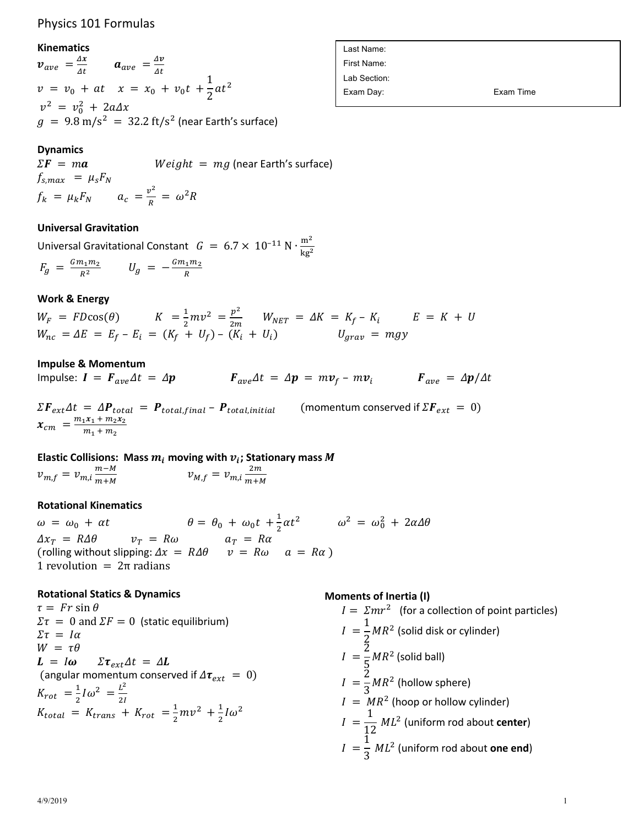# Physics 101 Formulas

#### **Kinematics**

 $v_{ave} = \frac{\Delta x}{\Delta t}$   $a_{ave} = \frac{\Delta v}{\Delta t}$  $v = v_0 + at$   $x = x_0 + v_0t +$  $rac{1}{2}at^2$  $v^2 = v_0^2 + 2a\Delta x$  $g = 9.8 \text{ m/s}^2 = 32.2 \text{ ft/s}^2$  (near Earth's surface)

## **Dynamics**

 $\Sigma \mathbf{F} = m \mathbf{a}$  Weight = mg (near Earth's surface)  $f_{s,max} = \mu_s F_N$  $f_k = \mu_k F_N$   $a_c = \frac{v^2}{R} = \omega^2 R$ 

## **Universal Gravitation**

Universal Gravitational Constant  $G = 6.7 \times 10^{-11} \text{ N} \cdot \frac{\text{m}^2}{\text{N} \cdot \text{s}^2}$  $kg^2$  $F_g = \frac{Gm_1m_2}{R^2}$   $U_g = -\frac{Gm_1m_2}{R}$ 

## **Work & Energy**

 $W_F = FD\cos(\theta)$   $K = \frac{1}{2}mv^2 = \frac{p^2}{2m}$   $W_{NET} = \Delta K = K_f - K_i$   $E = K + U$  $W_{nc} = \Delta E = E_f - E_i = (K_f + U_f) - (K_i + U_i)$   $U_{arav} = mgy$ 

### **Impulse & Momentum**

Impulse:  $I = F_{ave}\Delta t = \Delta p$   $F_{ave}\Delta t = \Delta p = m v_f - m v_i$   $F_{ave} = \Delta p/\Delta t$ 

 $\Sigma F_{ext}\Delta t = \Delta P_{total} = P_{total,final} - P_{total,initial}$  (momentum conserved if  $\Sigma F_{ext} = 0$ )  $x_{cm}$  =  $\frac{m_1x_1 + m_2x_2}{m_1 + m_2}$ 

**Elastic Collisions:** Mass  $m_i$  moving with  $v_i$ ; Stationary mass M  $v_{m,f} = v_{m,i} \frac{m-M}{m+M}$  $m+M$  $v_{M,f} = v_{m,i} \frac{2m}{m+h}$  $m+M$ 

### **Rotational Kinematics**

 $\omega = \omega_0 + \alpha t$   $\theta = \theta_0 + \omega_0 t + \frac{1}{2} \alpha t^2$   $\omega^2 = \omega_0^2 + 2\alpha \Delta \theta$  $\Delta x_T = R \Delta \theta$   $v_T = R \omega$   $a_T = R \alpha$ (rolling without slipping:  $\Delta x = R \Delta \theta$   $v = R \omega$   $a = R \alpha$ ) 1 revolution =  $2π$  radians

### **Rotational Statics & Dynamics**

 $\tau = Fr \sin \theta$  $\Sigma \tau = 0$  and  $\Sigma F = 0$  (static equilibrium)  $\Sigma \tau = I \alpha$  $W = \tau \theta$  $L = I\omega \quad \Sigma \tau_{ext} \Delta t = \Delta L$ (angular momentum conserved if  $\Delta \tau_{ext} = 0$ )  $K_{rot} = \frac{1}{2}I\omega^2 = \frac{L^2}{2I}$  $K_{total} = K_{trans} + K_{rot} = \frac{1}{2}mv^2 + \frac{1}{2}I\omega^2$ 

### **Moments of Inertia (I)**

$$
I = \Sigma mr^2
$$
 (for a collection of point particles)  
\n
$$
I = \frac{1}{2}MR^2
$$
 (solid disk or cylinder)  
\n
$$
I = \frac{2}{5}MR^2
$$
 (solid ball)  
\n
$$
I = \frac{2}{3}MR^2
$$
 (hollow sphere)  
\n
$$
I = MR^2
$$
 (hoop or hollow cylinder)  
\n
$$
I = \frac{1}{12}ML^2
$$
 (uniform rod about center)  
\n
$$
I = \frac{1}{3}ML^2
$$
 (uniform rod about one end)

Last Name: First Name: Lab Section: Exam Day: Exam Time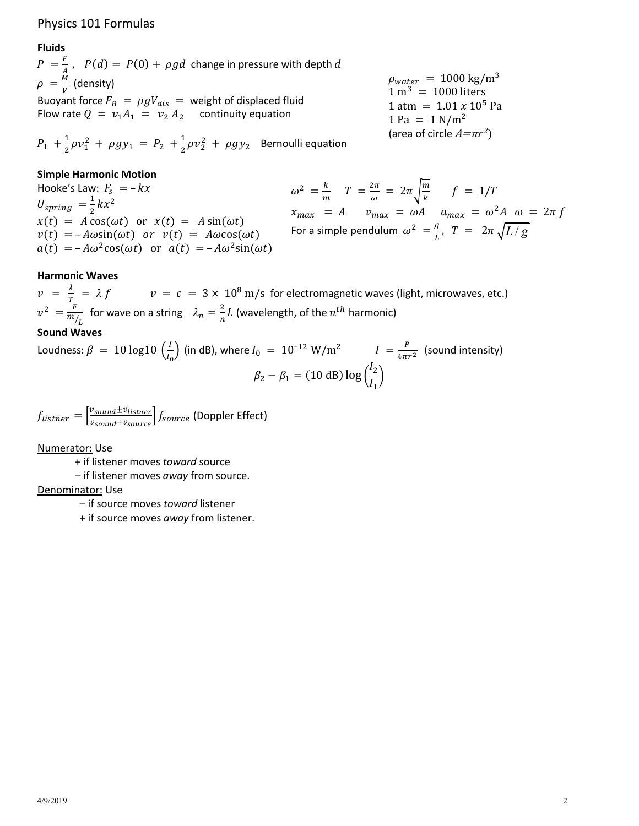# Physics 101 Formulas

# **Fluids**

 $P = \frac{F}{4}$ ,  $P(d) = P(0) + \rho g d$  change in pressure with depth d  $\rho = \frac{M}{V}$  (density) Buoyant force  $F_B = \rho g V_{dis}$  = weight of displaced fluid Flow rate  $Q = v_1 A_1 = v_2 A_2$  continuity equation

 $P_1 + \frac{1}{2}\rho v_1^2 + \rho g y_1 = P_2 + \frac{1}{2}\rho v_2^2 + \rho g y_2$  Bernoulli equation

## **Simple Harmonic Motion**

Hooke's Law:  $F_s = -kx$  $U_{spring} = \frac{1}{2}kx^2$  $x(t) = A\cos(\omega t)$  or  $x(t) = A\sin(\omega t)$  $v(t) = -A\omega\sin(\omega t)$  or  $v(t) = A\omega\cos(\omega t)$  $a(t) = -A\omega^2 \cos(\omega t)$  or  $a(t) = -A\omega^2 \sin(\omega t)$ 

$$
\rho_{water} = 1000 \text{ kg/m}^3
$$
  
1 m<sup>3</sup> = 1000 liters  
1 atm = 1.01 x 10<sup>5</sup> Pa  
1 Pa = 1 N/m<sup>2</sup>  
(area of circle  $A = \pi r^2$ )

 $\omega^2 = \frac{k}{m}$   $T = \frac{2\pi}{\omega} = 2\pi \sqrt{\frac{m}{k}}$   $f = 1/T$  $x_{max}$  = A  $v_{max}$  =  $\omega A$   $a_{max}$  =  $\omega^2 A$   $\omega$  =  $2\pi f$ For a simple pendulum  $\omega^2 = \frac{g}{L}$ ,  $T = 2\pi \sqrt{L/g}$ 

### **Harmonic Waves**

 $v = \frac{\lambda}{T} = \lambda f$   $v = c = 3 \times 10^8 \text{ m/s}$  for electromagnetic waves (light, microwaves, etc.)  $v^2 = \frac{F}{mL}$  for wave on a string  $\lambda_n = \frac{2}{n}L$  (wavelength, of the  $n^{th}$  harmonic)

## **Sound Waves**

Loudness:  $\beta = 10 \log 10 \left(\frac{l}{l_0}\right)$  (in dB), where  $l_0 = 10^{-12} \text{ W/m}^2$   $I = \frac{P}{4\pi r^2}$  (sound intensity)  $\beta_2 - \beta_1 = (10 \text{ dB}) \log \left( \frac{l_2}{l_1} \right)$ 

 $f_{listner} = \frac{v_{sound} \pm v_{listner}}{v_{count} \mp v_{course}} f_{source}$  (Doppler Effect)

Numerator: Use

+ if listener moves toward source

- if listener moves away from source.

### Denominator: Use

- if source moves toward listener

+ if source moves away from listener.